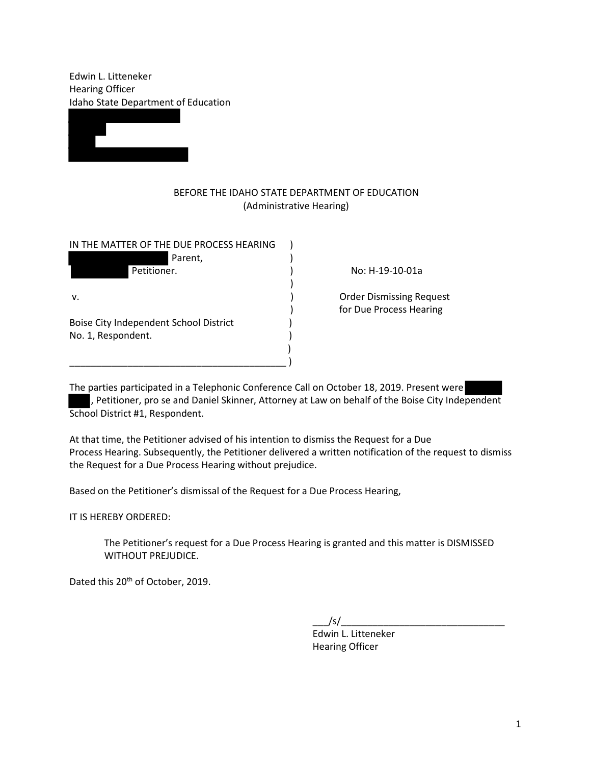Edwin L. Litteneker Hearing Officer Idaho State Department of Education



## BEFORE THE IDAHO STATE DEPARTMENT OF EDUCATION (Administrative Hearing)

| IN THE MATTER OF THE DUE PROCESS HEARING |  |
|------------------------------------------|--|
| Parent,                                  |  |
| Petitioner.                              |  |
|                                          |  |
| V.                                       |  |
|                                          |  |
| Boise City Independent School District   |  |
| No. 1, Respondent.                       |  |
|                                          |  |
|                                          |  |

) No: H-19-10-01a

) Order Dismissing Request ) for Due Process Hearing

The parties participated in a Telephonic Conference Call on October 18, 2019. Present were , Petitioner, pro se and Daniel Skinner, Attorney at Law on behalf of the Boise City Independent School District #1, Respondent.

At that time, the Petitioner advised of his intention to dismiss the Request for a Due Process Hearing. Subsequently, the Petitioner delivered a written notification of the request to dismiss the Request for a Due Process Hearing without prejudice.

Based on the Petitioner's dismissal of the Request for a Due Process Hearing,

IT IS HEREBY ORDERED:

The Petitioner's request for a Due Process Hearing is granted and this matter is DISMISSED WITHOUT PREJUDICE.

Dated this 20<sup>th</sup> of October, 2019.

 $\frac{\sqrt{s}}{\sqrt{2\pi}}$ 

 Edwin L. Litteneker Hearing Officer